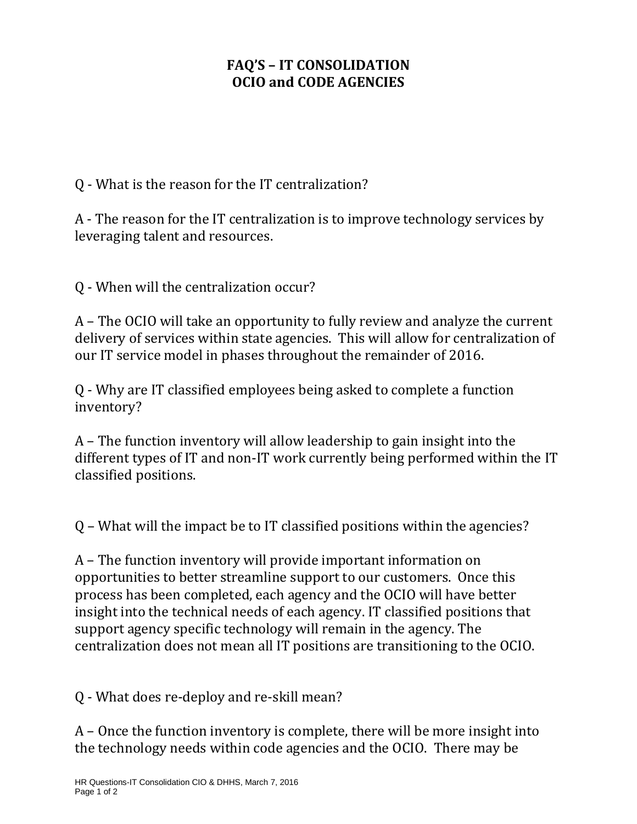## **FAQ'S – IT CONSOLIDATION OCIO and CODE AGENCIES**

Q - What is the reason for the IT centralization?

A - The reason for the IT centralization is to improve technology services by leveraging talent and resources.

Q - When will the centralization occur?

A – The OCIO will take an opportunity to fully review and analyze the current delivery of services within state agencies. This will allow for centralization of our IT service model in phases throughout the remainder of 2016.

Q - Why are IT classified employees being asked to complete a function inventory?

A – The function inventory will allow leadership to gain insight into the different types of IT and non-IT work currently being performed within the IT classified positions.

Q – What will the impact be to IT classified positions within the agencies?

A – The function inventory will provide important information on opportunities to better streamline support to our customers. Once this process has been completed, each agency and the OCIO will have better insight into the technical needs of each agency. IT classified positions that support agency specific technology will remain in the agency. The centralization does not mean all IT positions are transitioning to the OCIO.

Q - What does re-deploy and re-skill mean?

A – Once the function inventory is complete, there will be more insight into the technology needs within code agencies and the OCIO. There may be